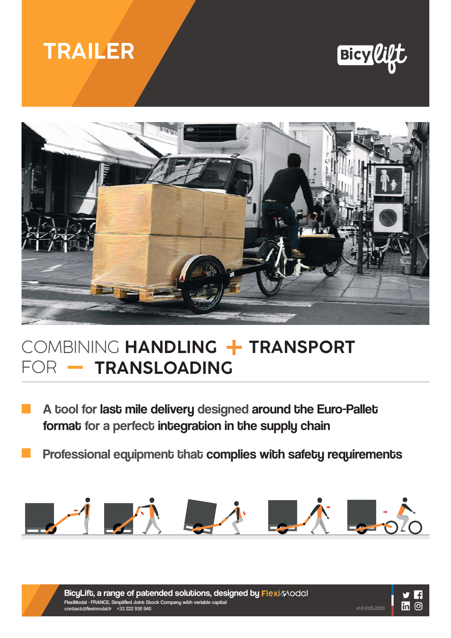# **TRAILER**



v1.0-01.15.2020

in O



## COMBINING **HANDLING + TRANSPORT** FOR - TRANSLOADING

A tool for last mile delivery designed around the Euro-Pallet format for a perfect integration in the supply chain

Professional equipment that complies with safety requirements